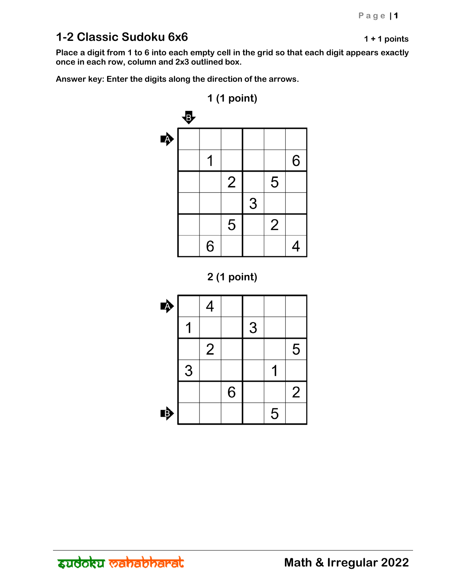## **1-2 Classic Sudoku 6x6 1 + 1 points**

**Place a digit from 1 to 6 into each empty cell in the grid so that each digit appears exactly once in each row, column and 2x3 outlined box.** 





| ♣ |   | 4              |   |   |   |                |
|---|---|----------------|---|---|---|----------------|
|   |   |                |   | 3 |   |                |
|   |   | $\overline{2}$ |   |   |   | 5              |
|   | 3 |                |   |   |   |                |
|   |   |                | 6 |   |   | $\overline{2}$ |
| 哼 |   |                |   |   | 5 |                |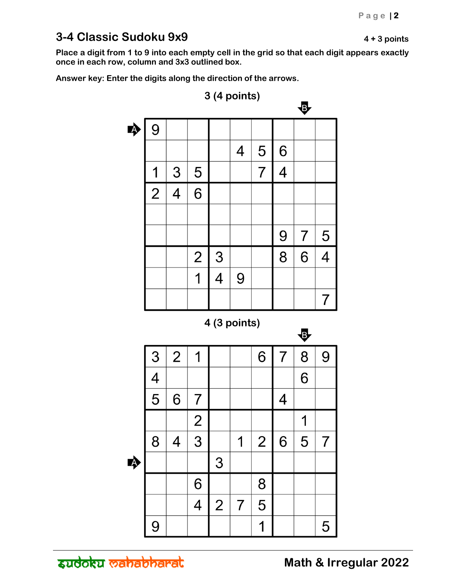## **3-4 Classic Sudoku 9x9 4 + 3 points**

**Place a digit from 1 to 9 into each empty cell in the grid so that each digit appears exactly once in each row, column and 3x3 outlined box.** 

**Answer key: Enter the digits along the direction of the arrows.** 



zudoku <del>wahabharal</del>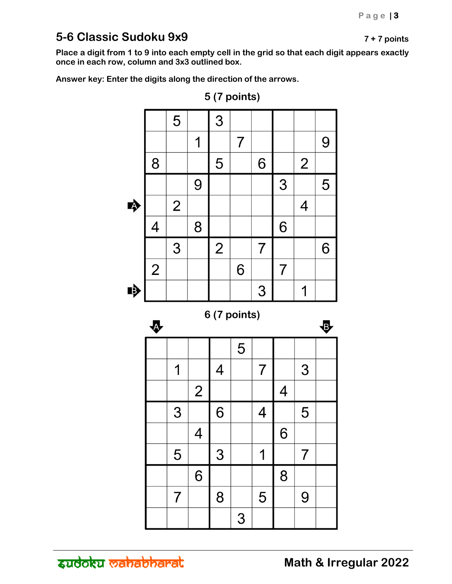## **5-6 Classic Sudoku 9x9 7 + 7 points**

**Place a digit from 1 to 9 into each empty cell in the grid so that each digit appears exactly once in each row, column and 3x3 outlined box.** 

**Answer key: Enter the digits along the direction of the arrows.** 



**5 (7 points)**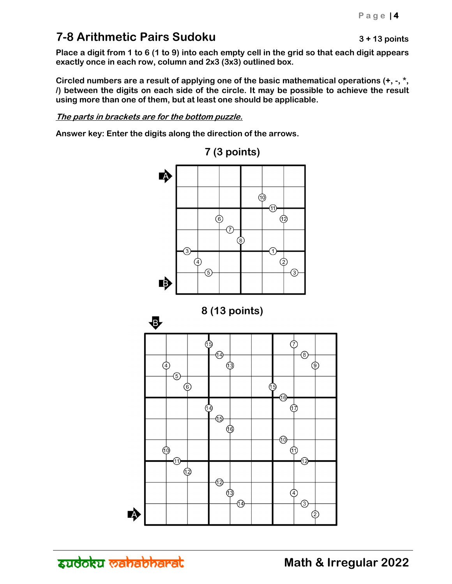# **7-8 Arithmetic Pairs Sudoku 3 + 13 points**

**Place a digit from 1 to 6 (1 to 9) into each empty cell in the grid so that each digit appears exactly once in each row, column and 2x3 (3x3) outlined box.** 

**Circled numbers are a result of applying one of the basic mathematical operations (+, -, \*, /) between the digits on each side of the circle. It may be possible to achieve the result using more than one of them, but at least one should be applicable.** 

**The parts in brackets are for the bottom puzzle.**

**Answer key: Enter the digits along the direction of the arrows.** 



**7 (3 points)**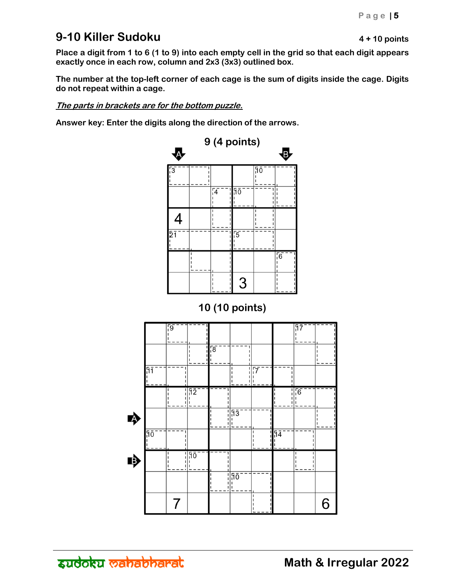## **9-10 Killer Sudoku 19-10 Killer Sudoku 19-10 Points**

**Place a digit from 1 to 6 (1 to 9) into each empty cell in the grid so that each digit appears exactly once in each row, column and 2x3 (3x3) outlined box.** 

**The number at the top-left corner of each cage is the sum of digits inside the cage. Digits do not repeat within a cage.** 

**The parts in brackets are for the bottom puzzle.** 

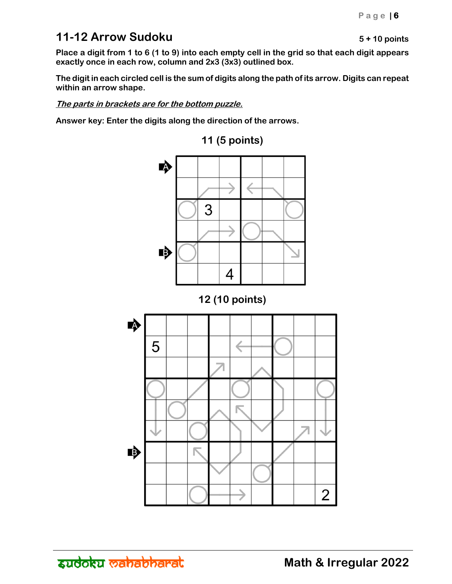## **11-12 Arrow Sudoku 5+10 points**

**Place a digit from 1 to 6 (1 to 9) into each empty cell in the grid so that each digit appears exactly once in each row, column and 2x3 (3x3) outlined box.** 

**The digit in each circled cell is the sum of digits along the path of its arrow. Digits can repeat within an arrow shape.** 

**The parts in brackets are for the bottom puzzle.** 

**Answer key: Enter the digits along the direction of the arrows.** 



**11 (5 points)**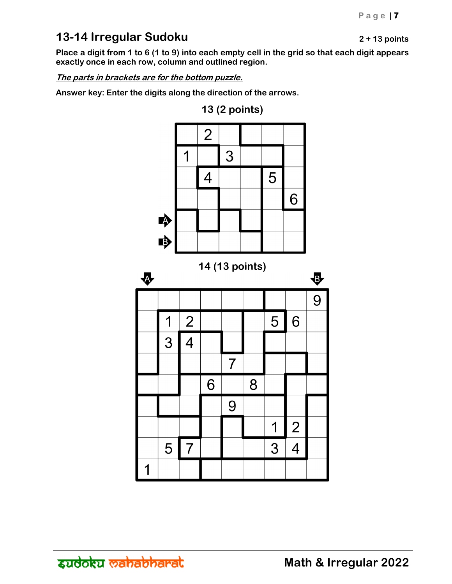## **13-14 Irregular Sudoku 2 + 13 points**

**Place a digit from 1 to 6 (1 to 9) into each empty cell in the grid so that each digit appears exactly once in each row, column and outlined region.** 

**The parts in brackets are for the bottom puzzle.** 

**Answer key: Enter the digits along the direction of the arrows.** 



**13 (2 points)**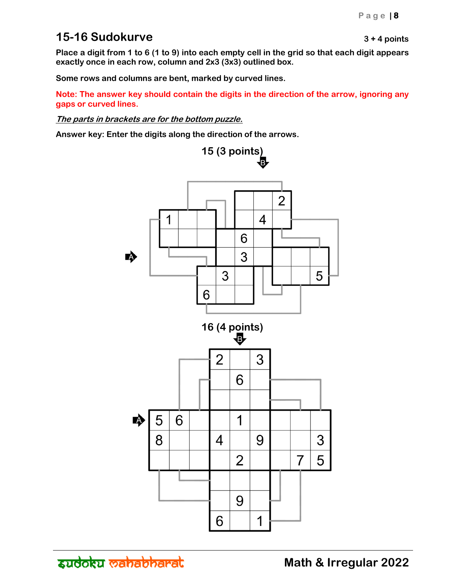#### **15-16 Sudokurve 15-16 Sudokurve 15-16 Sudokurve 15-16** Sudokurve **15-16** Sudokurve **15-16** Sudokurve **15-16** Sudokurve **15-16** Sudokurve **15-16** Sudokurve **15-16** Sudokurve **15-16** Sudokurve **15-16** Sudokurve **15-16**

**Place a digit from 1 to 6 (1 to 9) into each empty cell in the grid so that each digit appears exactly once in each row, column and 2x3 (3x3) outlined box.** 

**Some rows and columns are bent, marked by curved lines.** 

**Note: The answer key should contain the digits in the direction of the arrow, ignoring any gaps or curved lines.** 

**The parts in brackets are for the bottom puzzle.** 

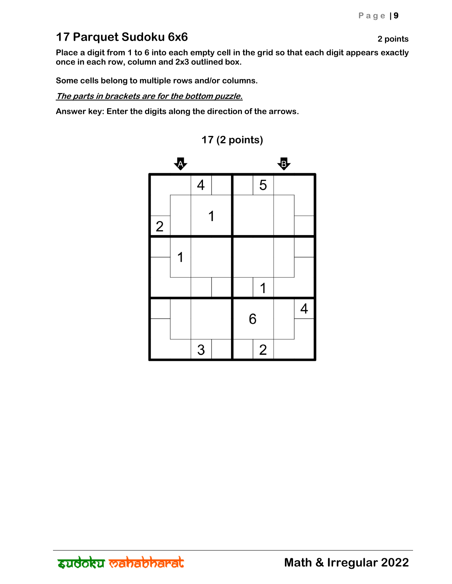## **17 Parquet Sudoku 6x6 2 points**

**Place a digit from 1 to 6 into each empty cell in the grid so that each digit appears exactly once in each row, column and 2x3 outlined box.** 

**Some cells belong to multiple rows and/or columns.** 

**The parts in brackets are for the bottom puzzle.** 



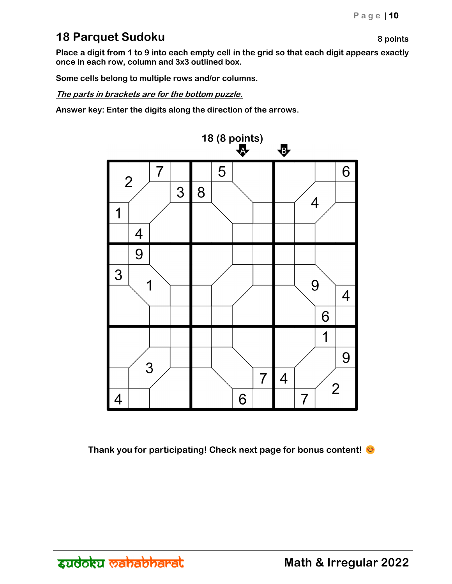#### **18 Parquet Sudoku 8 points 8 points**

**Place a digit from 1 to 9 into each empty cell in the grid so that each digit appears exactly once in each row, column and 3x3 outlined box.** 

**Some cells belong to multiple rows and/or columns.** 

**The parts in brackets are for the bottom puzzle.** 

**Answer key: Enter the digits along the direction of the arrows.** 



**Thank you for participating! Check next page for bonus content!**  $\bullet$